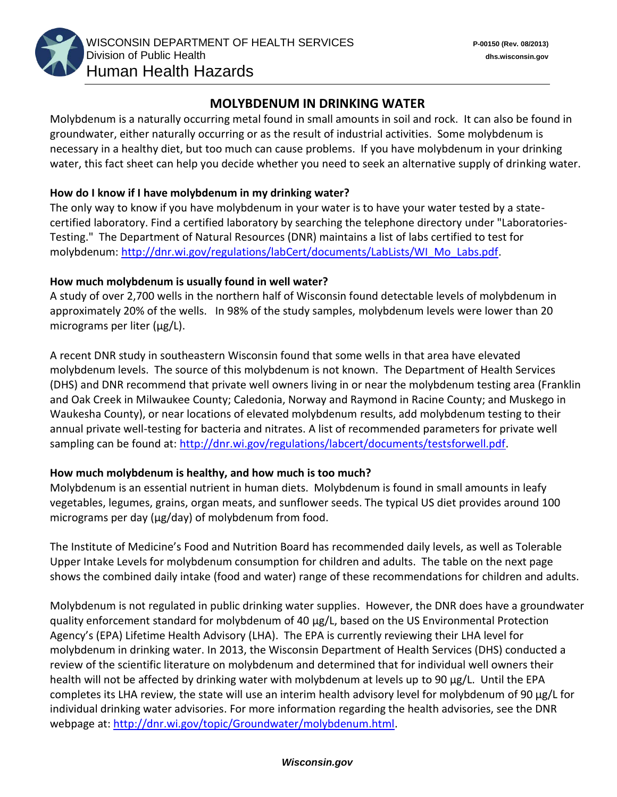

# **MOLYBDENUM IN DRINKING WATER**

Molybdenum is a naturally occurring metal found in small amounts in soil and rock. It can also be found in groundwater, either naturally occurring or as the result of industrial activities. Some molybdenum is necessary in a healthy diet, but too much can cause problems. If you have molybdenum in your drinking water, this fact sheet can help you decide whether you need to seek an alternative supply of drinking water.

#### **How do I know if I have molybdenum in my drinking water?**

The only way to know if you have molybdenum in your water is to have your water tested by a statecertified laboratory. Find a certified laboratory by searching the telephone directory under "Laboratories-Testing." The Department of Natural Resources (DNR) maintains a list of labs certified to test for molybdenum: [http://dnr.wi.gov/regulations/labCert/documents/LabLists/WI\\_Mo\\_Labs.pdf.](http://dnr.wi.gov/regulations/labCert/documents/LabLists/WI_Mo_Labs.pdf)

#### **How much molybdenum is usually found in well water?**

A study of over 2,700 wells in the northern half of Wisconsin found detectable levels of molybdenum in approximately 20% of the wells. In 98% of the study samples, molybdenum levels were lower than 20 micrograms per liter (μg/L).

A recent DNR study in southeastern Wisconsin found that some wells in that area have elevated molybdenum levels. The source of this molybdenum is not known. The Department of Health Services (DHS) and DNR recommend that private well owners living in or near the molybdenum testing area (Franklin and Oak Creek in Milwaukee County; Caledonia, Norway and Raymond in Racine County; and Muskego in Waukesha County), or near locations of elevated molybdenum results, add molybdenum testing to their annual private well-testing for bacteria and nitrates. A list of recommended parameters for private well sampling can be found at: [http://dnr.wi.gov/regulations/labcert/documents/testsforwell.pdf.](http://dnr.wi.gov/regulations/labcert/documents/testsforwell.pdf)

### **How much molybdenum is healthy, and how much is too much?**

Molybdenum is an essential nutrient in human diets. Molybdenum is found in small amounts in leafy vegetables, legumes, grains, organ meats, and sunflower seeds. The typical US diet provides around 100 micrograms per day (μg/day) of molybdenum from food.

The Institute of Medicine's Food and Nutrition Board has recommended daily levels, as well as Tolerable Upper Intake Levels for molybdenum consumption for children and adults. The table on the next page shows the combined daily intake (food and water) range of these recommendations for children and adults.

Molybdenum is not regulated in public drinking water supplies. However, the DNR does have a groundwater quality enforcement standard for molybdenum of 40 μg/L, based on the US Environmental Protection Agency's (EPA) Lifetime Health Advisory (LHA). The EPA is currently reviewing their LHA level for molybdenum in drinking water. In 2013, the Wisconsin Department of Health Services (DHS) conducted a review of the scientific literature on molybdenum and determined that for individual well owners their health will not be affected by drinking water with molybdenum at levels up to 90 μg/L. Until the EPA completes its LHA review, the state will use an interim health advisory level for molybdenum of 90 μg/L for individual drinking water advisories. For more information regarding the health advisories, see the DNR webpage at: http://dnr.wi.gov/topic/Groundwater/molybdenum.html.

#### *Wisconsin.gov*